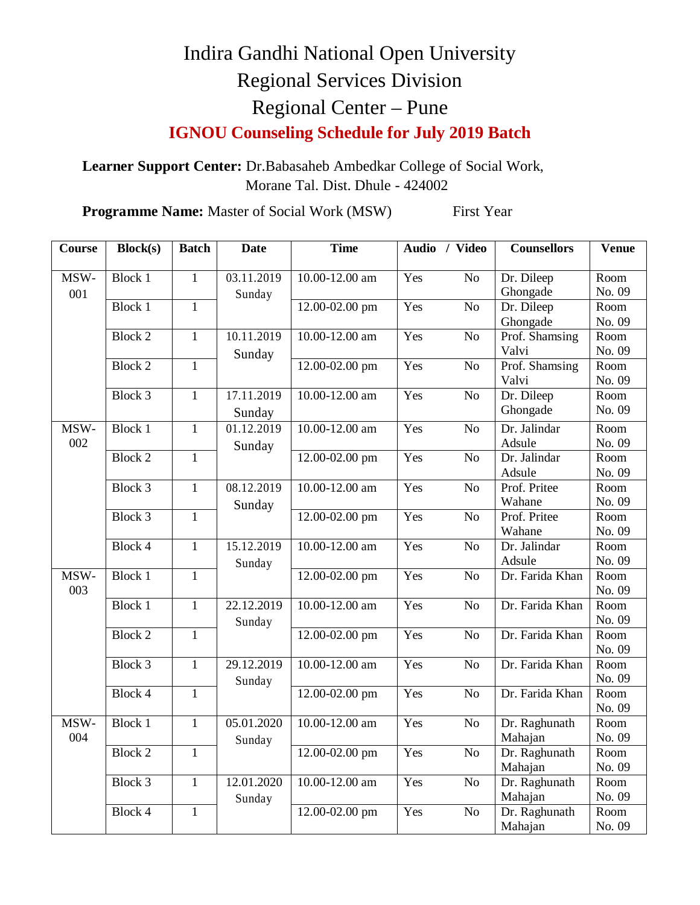## Indira Gandhi National Open University Regional Services Division Regional Center – Pune

**IGNOU Counseling Schedule for July 2019 Batch**

**Learner Support Center:** Dr.Babasaheb Ambedkar College of Social Work, Morane Tal. Dist. Dhule - 424002

**Programme Name:** Master of Social Work (MSW) First Year

| $\overline{\mathrm{C}}$ ourse | <b>Block(s)</b> | <b>Batch</b>   | <b>Date</b> | <b>Time</b>        |     | Audio / Video   | <b>Counsellors</b> | <b>Venue</b>   |
|-------------------------------|-----------------|----------------|-------------|--------------------|-----|-----------------|--------------------|----------------|
|                               |                 |                |             |                    |     |                 |                    |                |
| MSW-                          | <b>Block 1</b>  | $\overline{1}$ | 03.11.2019  | 10.00-12.00 am     | Yes | $\overline{No}$ | Dr. Dileep         | Room           |
| 001                           |                 |                | Sunday      |                    |     |                 | Ghongade           | No. 09         |
|                               | <b>Block 1</b>  | $\mathbf{1}$   |             | 12.00-02.00 pm     | Yes | $\overline{No}$ | Dr. Dileep         | Room           |
|                               |                 |                |             |                    |     |                 | Ghongade           | No. 09         |
|                               | <b>Block 2</b>  | $\mathbf{1}$   | 10.11.2019  | 10.00-12.00 am     | Yes | N <sub>o</sub>  | Prof. Shamsing     | Room           |
|                               |                 |                | Sunday      |                    |     |                 | Valvi              | No. 09         |
|                               | <b>Block 2</b>  | $\mathbf{1}$   |             | 12.00-02.00 pm     | Yes | No              | Prof. Shamsing     | Room           |
|                               |                 |                |             |                    |     |                 | Valvi              | No. 09         |
|                               | Block 3         | $\mathbf{1}$   | 17.11.2019  | 10.00-12.00 am     | Yes | N <sub>o</sub>  | Dr. Dileep         | Room           |
|                               |                 |                | Sunday      |                    |     |                 | Ghongade           | No. 09         |
| MSW-<br>002                   | <b>Block 1</b>  | $\mathbf{1}$   | 01.12.2019  | 10.00-12.00 am     | Yes | N <sub>o</sub>  | Dr. Jalindar       | Room           |
|                               |                 |                | Sunday      |                    |     |                 | Adsule             | No. 09         |
|                               | <b>Block 2</b>  | $\mathbf{1}$   |             | 12.00-02.00 pm     | Yes | N <sub>o</sub>  | Dr. Jalindar       | Room           |
|                               |                 |                |             |                    |     |                 | Adsule             | No. 09         |
|                               | Block 3         | $\mathbf{1}$   | 08.12.2019  | 10.00-12.00 am     | Yes | N <sub>o</sub>  | Prof. Pritee       | Room           |
|                               |                 |                | Sunday      |                    |     |                 | Wahane             | No. 09         |
|                               | Block 3         | $\mathbf{1}$   |             | 12.00-02.00 pm     | Yes | N <sub>o</sub>  | Prof. Pritee       | Room           |
|                               |                 |                |             |                    |     |                 | Wahane             | No. 09         |
|                               | Block 4         | $\overline{1}$ | 15.12.2019  | 10.00-12.00 am     | Yes | N <sub>o</sub>  | Dr. Jalindar       | Room           |
|                               |                 |                | Sunday      |                    |     |                 | Adsule             | No. 09         |
| MSW-<br>003                   | <b>Block 1</b>  | $\mathbf{1}$   |             | 12.00-02.00 pm     | Yes | N <sub>o</sub>  | Dr. Farida Khan    | Room           |
|                               | <b>Block 1</b>  | $\mathbf{1}$   | 22.12.2019  | 10.00-12.00 am     | Yes | N <sub>o</sub>  | Dr. Farida Khan    | No. 09<br>Room |
|                               |                 |                |             |                    |     |                 |                    | No. 09         |
|                               | <b>Block 2</b>  | $\mathbf{1}$   | Sunday      | 12.00-02.00 pm     | Yes | N <sub>o</sub>  | Dr. Farida Khan    | Room           |
|                               |                 |                |             |                    |     |                 |                    | No. 09         |
|                               | Block 3         | $\mathbf{1}$   | 29.12.2019  | 10.00-12.00 am     | Yes | N <sub>o</sub>  | Dr. Farida Khan    | Room           |
|                               |                 |                | Sunday      |                    |     |                 |                    | No. 09         |
|                               | Block 4         | $\mathbf{1}$   |             | 12.00-02.00 pm     | Yes | N <sub>o</sub>  | Dr. Farida Khan    | Room           |
|                               |                 |                |             |                    |     |                 |                    | No. 09         |
| MSW-                          | <b>Block 1</b>  | $\overline{1}$ | 05.01.2020  | $10.00 - 12.00$ am | Yes | N <sub>o</sub>  | Dr. Raghunath      | Room           |
| 004                           |                 |                | Sunday      |                    |     |                 | Mahajan            | No. 09         |
|                               | <b>Block 2</b>  | $\overline{1}$ |             | 12.00-02.00 pm     | Yes | $\overline{No}$ | Dr. Raghunath      | Room           |
|                               |                 |                |             |                    |     |                 | Mahajan            | No. 09         |
|                               | Block 3         | $\mathbf{1}$   | 12.01.2020  | 10.00-12.00 am     | Yes | No              | Dr. Raghunath      | Room           |
|                               |                 |                | Sunday      |                    |     |                 | Mahajan            | No. 09         |
|                               | Block 4         | $\mathbf{1}$   |             | 12.00-02.00 pm     | Yes | No              | Dr. Raghunath      | Room           |
|                               |                 |                |             |                    |     |                 | Mahajan            | No. 09         |